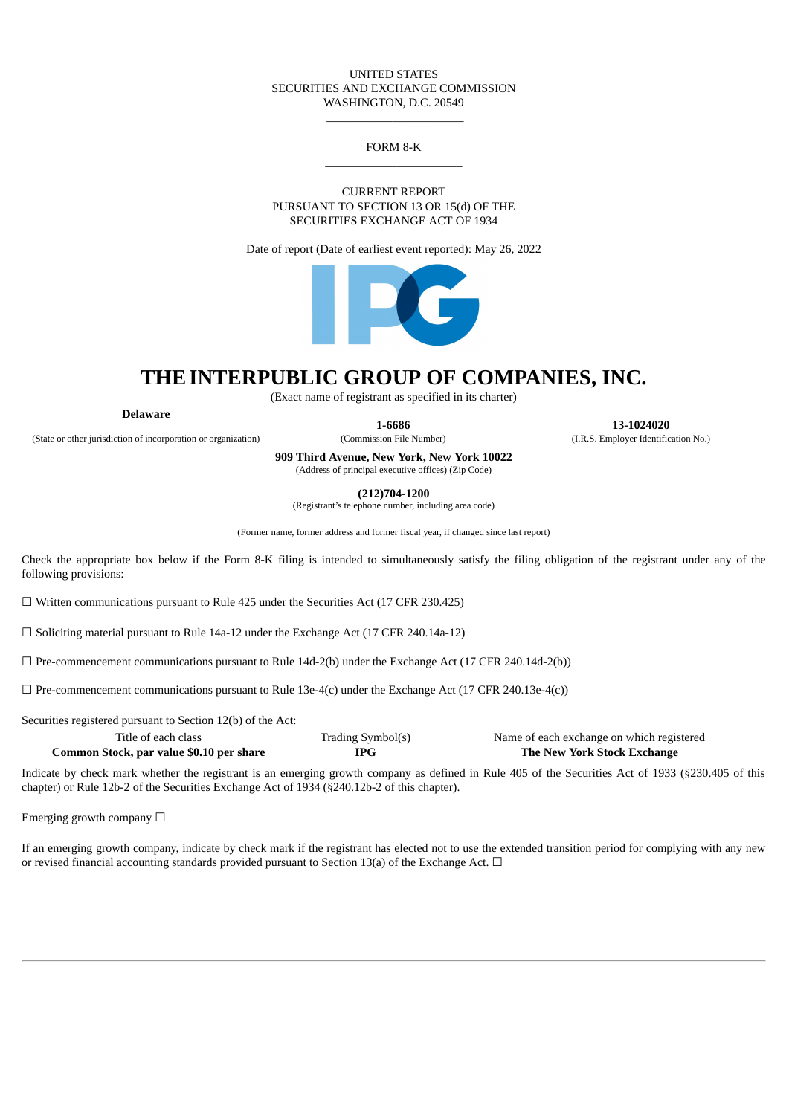#### UNITED STATES SECURITIES AND EXCHANGE COMMISSION WASHINGTON, D.C. 20549

### FORM 8-K  $\_$

 $\_$ 

CURRENT REPORT PURSUANT TO SECTION 13 OR 15(d) OF THE SECURITIES EXCHANGE ACT OF 1934

Date of report (Date of earliest event reported): May 26, 2022



# **THEINTERPUBLIC GROUP OF COMPANIES, INC.**

(Exact name of registrant as specified in its charter)

**Delaware**

**1-6686 13-1024020**

(State or other jurisdiction of incorporation or organization) (Commission File Number) (I.R.S. Employer Identification No.)

**909 Third Avenue, New York, New York 10022** (Address of principal executive offices) (Zip Code)

**(212)704-1200**

(Registrant's telephone number, including area code)

(Former name, former address and former fiscal year, if changed since last report)

Check the appropriate box below if the Form 8-K filing is intended to simultaneously satisfy the filing obligation of the registrant under any of the following provisions:

☐ Written communications pursuant to Rule 425 under the Securities Act (17 CFR 230.425)

 $\Box$  Soliciting material pursuant to Rule 14a-12 under the Exchange Act (17 CFR 240.14a-12)

 $\Box$  Pre-commencement communications pursuant to Rule 14d-2(b) under the Exchange Act (17 CFR 240.14d-2(b))

 $\Box$  Pre-commencement communications pursuant to Rule 13e-4(c) under the Exchange Act (17 CFR 240.13e-4(c))

Securities registered pursuant to Section 12(b) of the Act:

| Title of each class                      | Trading Symbol(s) | Name of each exchange on which registered |
|------------------------------------------|-------------------|-------------------------------------------|
| Common Stock, par value \$0.10 per share | <b>IPG</b>        | The New York Stock Exchange               |

Indicate by check mark whether the registrant is an emerging growth company as defined in Rule 405 of the Securities Act of 1933 (§230.405 of this chapter) or Rule 12b-2 of the Securities Exchange Act of 1934 (§240.12b-2 of this chapter).

Emerging growth company  $\Box$ 

If an emerging growth company, indicate by check mark if the registrant has elected not to use the extended transition period for complying with any new or revised financial accounting standards provided pursuant to Section 13(a) of the Exchange Act.  $\Box$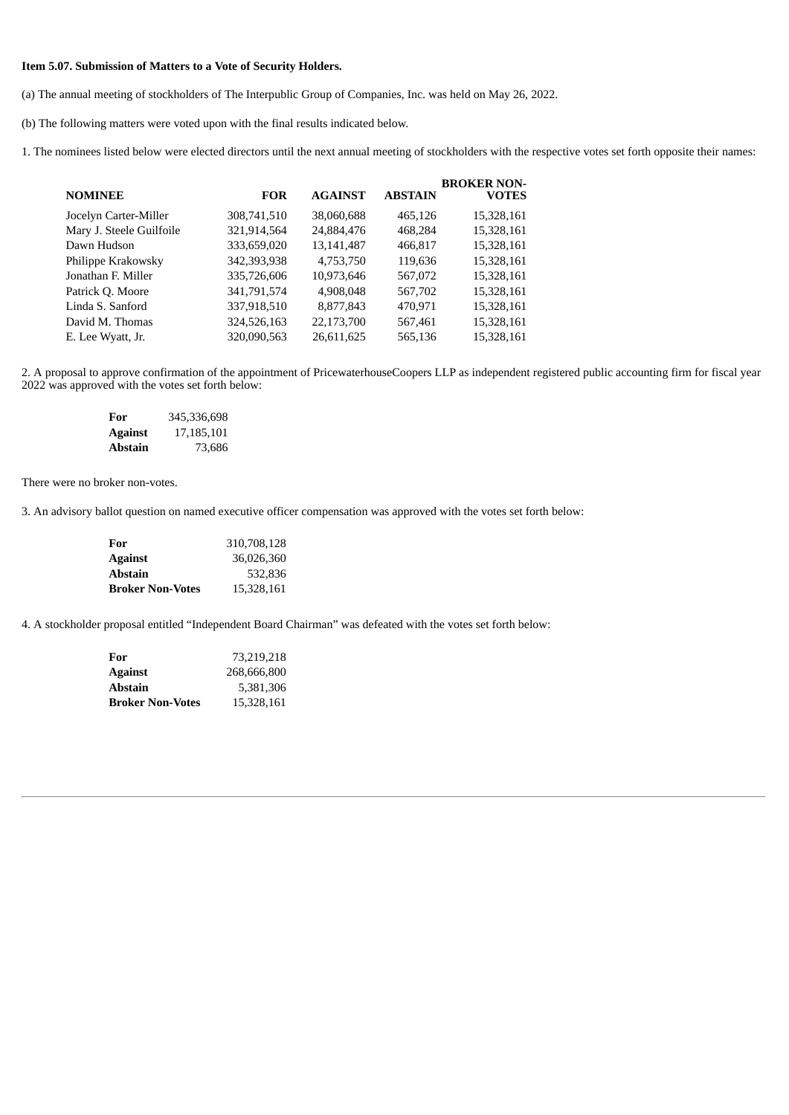## **Item 5.07. Submission of Matters to a Vote of Security Holders.**

(a) The annual meeting of stockholders of The Interpublic Group of Companies, Inc. was held on May 26, 2022.

(b) The following matters were voted upon with the final results indicated below.

1. The nominees listed below were elected directors until the next annual meeting of stockholders with the respective votes set forth opposite their names:

|                          |             |                |                | <b>BROKER NON-</b> |
|--------------------------|-------------|----------------|----------------|--------------------|
| <b>NOMINEE</b>           | <b>FOR</b>  | <b>AGAINST</b> | <b>ABSTAIN</b> | <b>VOTES</b>       |
| Jocelyn Carter-Miller    | 308,741,510 | 38,060,688     | 465,126        | 15,328,161         |
| Mary J. Steele Guilfoile | 321,914,564 | 24,884,476     | 468,284        | 15,328,161         |
| Dawn Hudson              | 333,659,020 | 13,141,487     | 466,817        | 15,328,161         |
| Philippe Krakowsky       | 342,393,938 | 4,753,750      | 119,636        | 15,328,161         |
| Jonathan F. Miller       | 335,726,606 | 10,973,646     | 567,072        | 15,328,161         |
| Patrick Q. Moore         | 341,791,574 | 4,908,048      | 567,702        | 15,328,161         |
| Linda S. Sanford         | 337,918,510 | 8,877,843      | 470.971        | 15,328,161         |
| David M. Thomas          | 324,526,163 | 22,173,700     | 567,461        | 15,328,161         |
| E. Lee Wyatt, Jr.        | 320,090,563 | 26,611,625     | 565,136        | 15,328,161         |
|                          |             |                |                |                    |

2. A proposal to approve confirmation of the appointment of PricewaterhouseCoopers LLP as independent registered public accounting firm for fiscal year 2022 was approved with the votes set forth below:

| For            | 345,336,698 |
|----------------|-------------|
| <b>Against</b> | 17,185,101  |
| <b>Abstain</b> | 73.686      |

There were no broker non-votes.

3. An advisory ballot question on named executive officer compensation was approved with the votes set forth below:

| For                     | 310,708,128 |
|-------------------------|-------------|
| <b>Against</b>          | 36,026,360  |
| <b>Abstain</b>          | 532.836     |
| <b>Broker Non-Votes</b> | 15,328,161  |

4. A stockholder proposal entitled "Independent Board Chairman" was defeated with the votes set forth below:

| For                     | 73,219,218  |
|-------------------------|-------------|
| <b>Against</b>          | 268,666,800 |
| <b>Abstain</b>          | 5,381,306   |
| <b>Broker Non-Votes</b> | 15,328,161  |